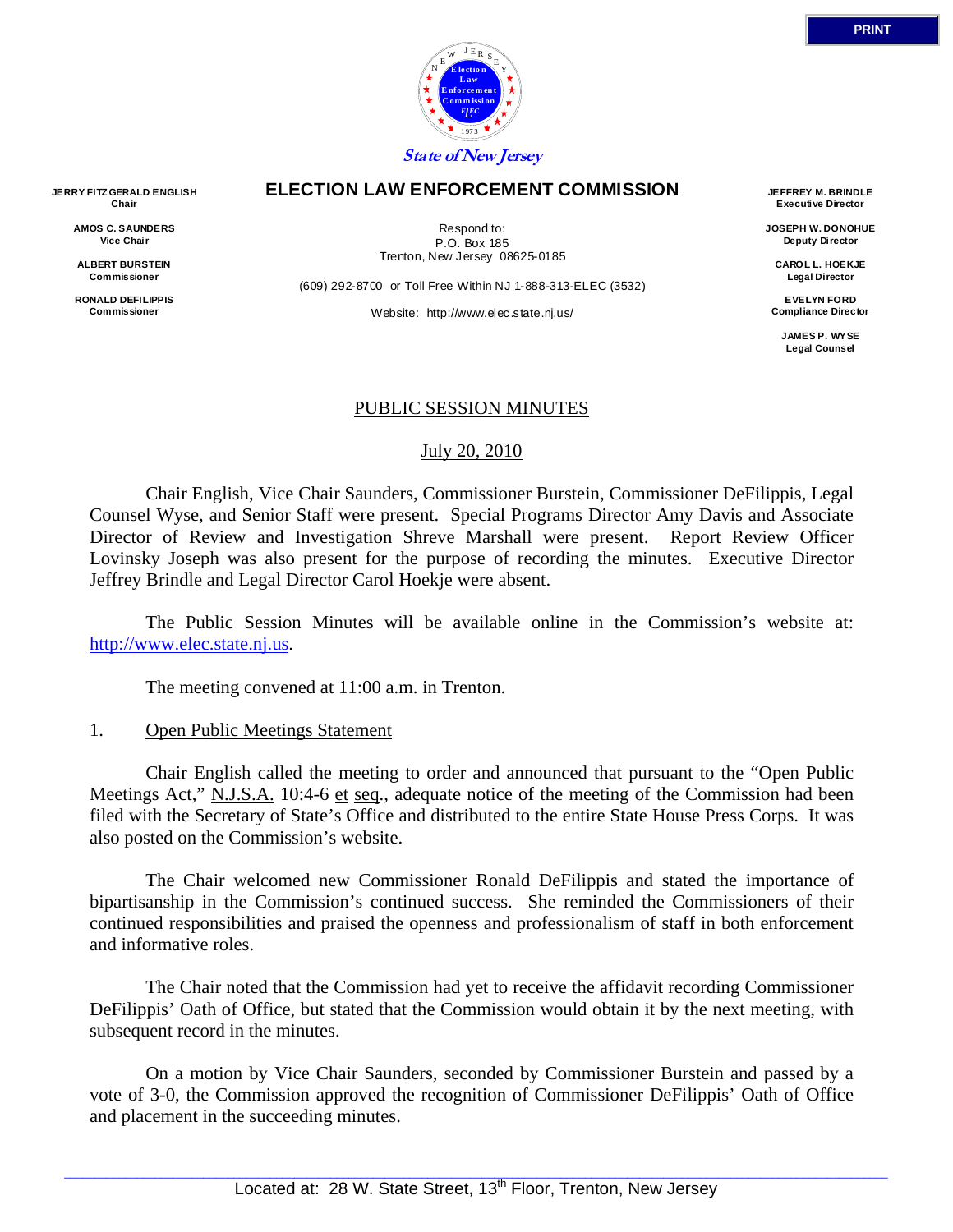

### **ELECTION LAW ENFORCEMENT COMMISSION**

Respond to: P.O. Box 185 Trenton, New Jersey 08625-0185

(609) 292-8700 or Toll Free Within NJ 1-888-313-ELEC (3532)

Website: http://www.elec.state.nj.us/

**JEFFREY M. BRINDLE Executive Director** 

**JOSEPH W. DONOHUE Deputy Director** 

**CAROL L. HOEKJE Legal Director** 

**EVELYN FORD Compliance Director** 

> **JAMES P. WYSE Legal Counsel**

## PUBLIC SESSION MINUTES

### July 20, 2010

 Chair English, Vice Chair Saunders, Commissioner Burstein, Commissioner DeFilippis, Legal Counsel Wyse, and Senior Staff were present. Special Programs Director Amy Davis and Associate Director of Review and Investigation Shreve Marshall were present. Report Review Officer Lovinsky Joseph was also present for the purpose of recording the minutes. Executive Director Jeffrey Brindle and Legal Director Carol Hoekje were absent.

 The Public Session Minutes will be available online in the Commission's website at: http://www.elec.state.nj.us.

The meeting convened at 11:00 a.m. in Trenton.

### 1. Open Public Meetings Statement

 Chair English called the meeting to order and announced that pursuant to the "Open Public Meetings Act," N.J.S.A. 10:4-6 et seq., adequate notice of the meeting of the Commission had been filed with the Secretary of State's Office and distributed to the entire State House Press Corps. It was also posted on the Commission's website.

 The Chair welcomed new Commissioner Ronald DeFilippis and stated the importance of bipartisanship in the Commission's continued success. She reminded the Commissioners of their continued responsibilities and praised the openness and professionalism of staff in both enforcement and informative roles.

 The Chair noted that the Commission had yet to receive the affidavit recording Commissioner DeFilippis' Oath of Office, but stated that the Commission would obtain it by the next meeting, with subsequent record in the minutes.

 On a motion by Vice Chair Saunders, seconded by Commissioner Burstein and passed by a vote of 3-0, the Commission approved the recognition of Commissioner DeFilippis' Oath of Office and placement in the succeeding minutes.

**JERRY FITZ GERALD ENGLISH Chair** 

> **AMOS C. SAUNDERS Vice Chair**

**ALBERT BURSTEIN Commissioner** 

**RONALD DEFILIPPIS Commissioner**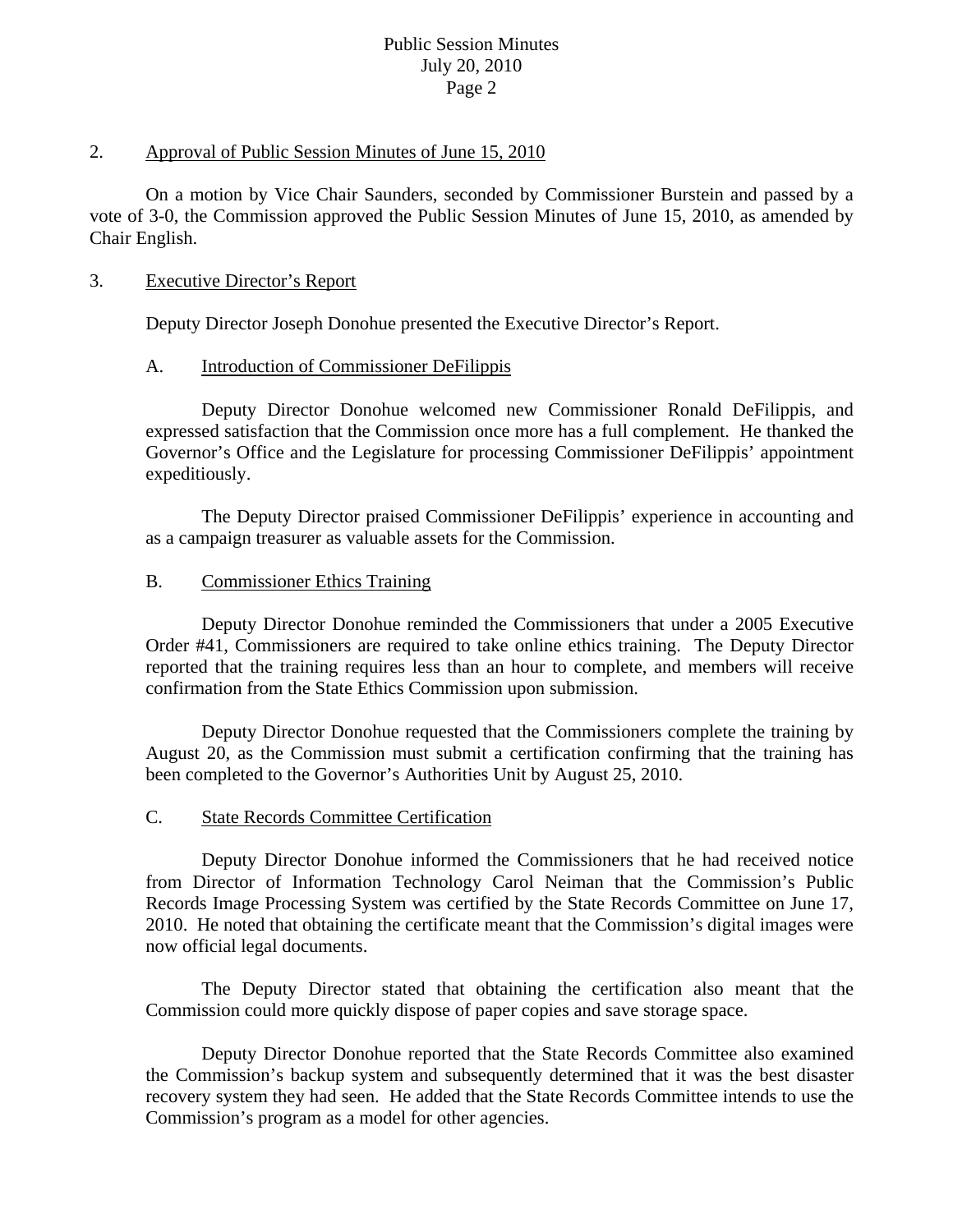## 2. Approval of Public Session Minutes of June 15, 2010

 On a motion by Vice Chair Saunders, seconded by Commissioner Burstein and passed by a vote of 3-0, the Commission approved the Public Session Minutes of June 15, 2010, as amended by Chair English.

## 3. Executive Director's Report

Deputy Director Joseph Donohue presented the Executive Director's Report.

## A. Introduction of Commissioner DeFilippis

 Deputy Director Donohue welcomed new Commissioner Ronald DeFilippis, and expressed satisfaction that the Commission once more has a full complement. He thanked the Governor's Office and the Legislature for processing Commissioner DeFilippis' appointment expeditiously.

 The Deputy Director praised Commissioner DeFilippis' experience in accounting and as a campaign treasurer as valuable assets for the Commission.

## B. Commissioner Ethics Training

 Deputy Director Donohue reminded the Commissioners that under a 2005 Executive Order #41, Commissioners are required to take online ethics training. The Deputy Director reported that the training requires less than an hour to complete, and members will receive confirmation from the State Ethics Commission upon submission.

 Deputy Director Donohue requested that the Commissioners complete the training by August 20, as the Commission must submit a certification confirming that the training has been completed to the Governor's Authorities Unit by August 25, 2010.

### C. State Records Committee Certification

 Deputy Director Donohue informed the Commissioners that he had received notice from Director of Information Technology Carol Neiman that the Commission's Public Records Image Processing System was certified by the State Records Committee on June 17, 2010. He noted that obtaining the certificate meant that the Commission's digital images were now official legal documents.

 The Deputy Director stated that obtaining the certification also meant that the Commission could more quickly dispose of paper copies and save storage space.

 Deputy Director Donohue reported that the State Records Committee also examined the Commission's backup system and subsequently determined that it was the best disaster recovery system they had seen. He added that the State Records Committee intends to use the Commission's program as a model for other agencies.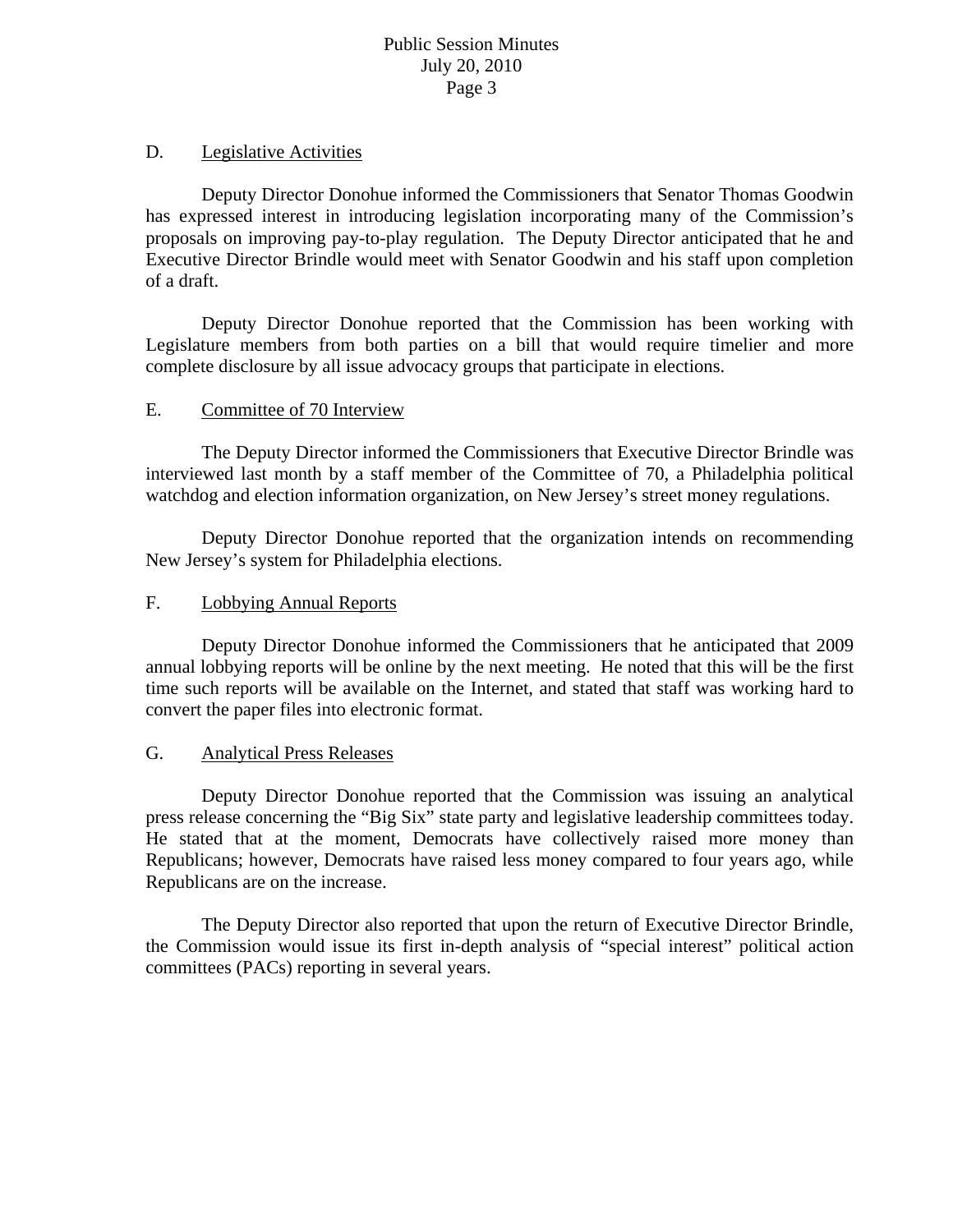# D. Legislative Activities

 Deputy Director Donohue informed the Commissioners that Senator Thomas Goodwin has expressed interest in introducing legislation incorporating many of the Commission's proposals on improving pay-to-play regulation. The Deputy Director anticipated that he and Executive Director Brindle would meet with Senator Goodwin and his staff upon completion of a draft.

 Deputy Director Donohue reported that the Commission has been working with Legislature members from both parties on a bill that would require timelier and more complete disclosure by all issue advocacy groups that participate in elections.

# E. Committee of 70 Interview

 The Deputy Director informed the Commissioners that Executive Director Brindle was interviewed last month by a staff member of the Committee of 70, a Philadelphia political watchdog and election information organization, on New Jersey's street money regulations.

 Deputy Director Donohue reported that the organization intends on recommending New Jersey's system for Philadelphia elections.

# F. Lobbying Annual Reports

 Deputy Director Donohue informed the Commissioners that he anticipated that 2009 annual lobbying reports will be online by the next meeting. He noted that this will be the first time such reports will be available on the Internet, and stated that staff was working hard to convert the paper files into electronic format.

## G. Analytical Press Releases

 Deputy Director Donohue reported that the Commission was issuing an analytical press release concerning the "Big Six" state party and legislative leadership committees today. He stated that at the moment, Democrats have collectively raised more money than Republicans; however, Democrats have raised less money compared to four years ago, while Republicans are on the increase.

 The Deputy Director also reported that upon the return of Executive Director Brindle, the Commission would issue its first in-depth analysis of "special interest" political action committees (PACs) reporting in several years.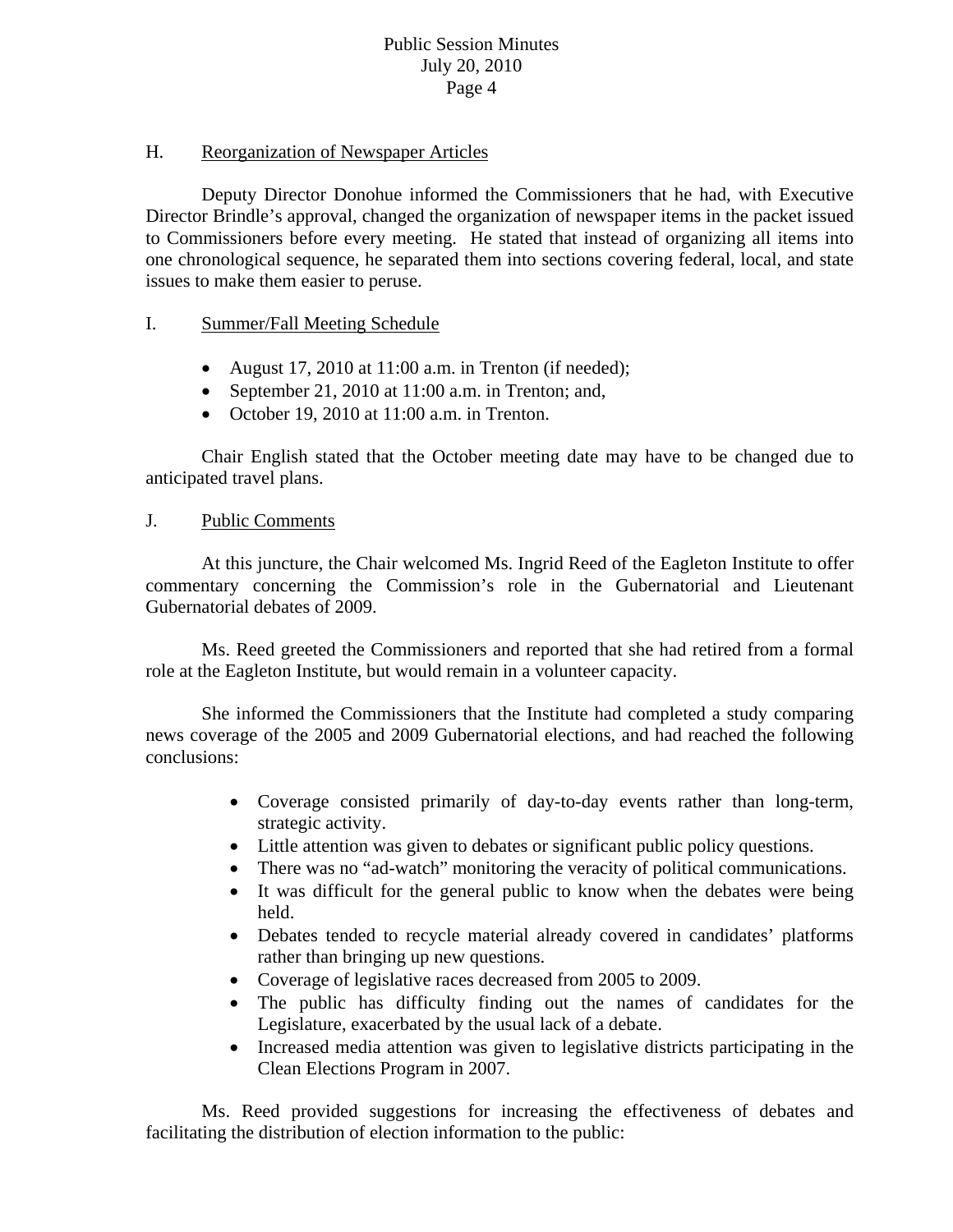## H. Reorganization of Newspaper Articles

 Deputy Director Donohue informed the Commissioners that he had, with Executive Director Brindle's approval, changed the organization of newspaper items in the packet issued to Commissioners before every meeting. He stated that instead of organizing all items into one chronological sequence, he separated them into sections covering federal, local, and state issues to make them easier to peruse.

## I. Summer/Fall Meeting Schedule

- August 17, 2010 at 11:00 a.m. in Trenton (if needed);
- September 21, 2010 at 11:00 a.m. in Trenton; and,
- October 19, 2010 at  $11:00$  a.m. in Trenton.

 Chair English stated that the October meeting date may have to be changed due to anticipated travel plans.

## J. Public Comments

 At this juncture, the Chair welcomed Ms. Ingrid Reed of the Eagleton Institute to offer commentary concerning the Commission's role in the Gubernatorial and Lieutenant Gubernatorial debates of 2009.

 Ms. Reed greeted the Commissioners and reported that she had retired from a formal role at the Eagleton Institute, but would remain in a volunteer capacity.

 She informed the Commissioners that the Institute had completed a study comparing news coverage of the 2005 and 2009 Gubernatorial elections, and had reached the following conclusions:

- Coverage consisted primarily of day-to-day events rather than long-term, strategic activity.
- Little attention was given to debates or significant public policy questions.
- There was no "ad-watch" monitoring the veracity of political communications.
- It was difficult for the general public to know when the debates were being held.
- Debates tended to recycle material already covered in candidates' platforms rather than bringing up new questions.
- Coverage of legislative races decreased from 2005 to 2009.
- The public has difficulty finding out the names of candidates for the Legislature, exacerbated by the usual lack of a debate.
- Increased media attention was given to legislative districts participating in the Clean Elections Program in 2007.

 Ms. Reed provided suggestions for increasing the effectiveness of debates and facilitating the distribution of election information to the public: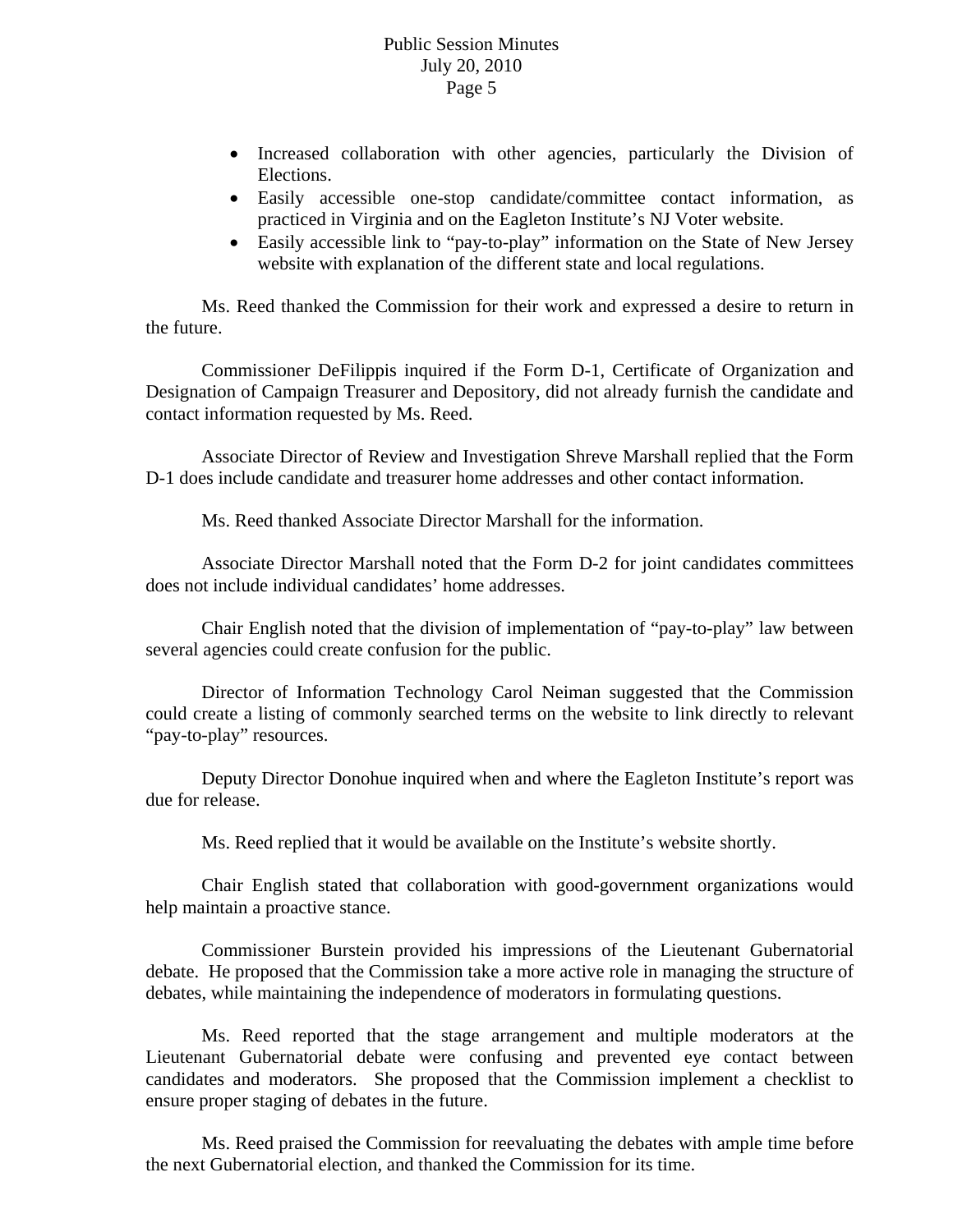- Increased collaboration with other agencies, particularly the Division of Elections.
- Easily accessible one-stop candidate/committee contact information, as practiced in Virginia and on the Eagleton Institute's NJ Voter website.
- Easily accessible link to "pay-to-play" information on the State of New Jersey website with explanation of the different state and local regulations.

 Ms. Reed thanked the Commission for their work and expressed a desire to return in the future.

 Commissioner DeFilippis inquired if the Form D-1, Certificate of Organization and Designation of Campaign Treasurer and Depository, did not already furnish the candidate and contact information requested by Ms. Reed.

 Associate Director of Review and Investigation Shreve Marshall replied that the Form D-1 does include candidate and treasurer home addresses and other contact information.

Ms. Reed thanked Associate Director Marshall for the information.

 Associate Director Marshall noted that the Form D-2 for joint candidates committees does not include individual candidates' home addresses.

 Chair English noted that the division of implementation of "pay-to-play" law between several agencies could create confusion for the public.

 Director of Information Technology Carol Neiman suggested that the Commission could create a listing of commonly searched terms on the website to link directly to relevant "pay-to-play" resources.

 Deputy Director Donohue inquired when and where the Eagleton Institute's report was due for release.

Ms. Reed replied that it would be available on the Institute's website shortly.

 Chair English stated that collaboration with good-government organizations would help maintain a proactive stance.

 Commissioner Burstein provided his impressions of the Lieutenant Gubernatorial debate. He proposed that the Commission take a more active role in managing the structure of debates, while maintaining the independence of moderators in formulating questions.

 Ms. Reed reported that the stage arrangement and multiple moderators at the Lieutenant Gubernatorial debate were confusing and prevented eye contact between candidates and moderators. She proposed that the Commission implement a checklist to ensure proper staging of debates in the future.

 Ms. Reed praised the Commission for reevaluating the debates with ample time before the next Gubernatorial election, and thanked the Commission for its time.